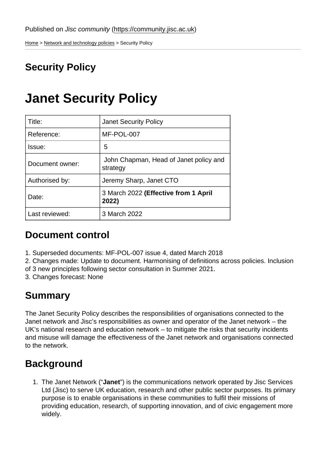[Home](https://community.jisc.ac.uk/) > [Network and technology policies](https://community.jisc.ac.uk/library/janet-policies) > Security Policy

## Security Policy

# Janet Security Policy

| Title:          | <b>Janet Security Policy</b>                       |
|-----------------|----------------------------------------------------|
| Reference:      | MF-POL-007                                         |
| Issue:          | 5                                                  |
| Document owner: | John Chapman, Head of Janet policy and<br>strategy |
| Authorised by:  | Jeremy Sharp, Janet CTO                            |
| Date:           | 3 March 2022 (Effective from 1 April<br>2022)      |
| Last reviewed:  | 3 March 2022                                       |

### Document control

- 1. Superseded documents: MF-POL-007 issue 4, dated March 2018
- 2. Changes made: Update to document. Harmonising of definitions across policies. Inclusion
- of 3 new principles following sector consultation in Summer 2021.

3. Changes forecast: None

## Summary

The Janet Security Policy describes the responsibilities of organisations connected to the Janet network and Jisc's responsibilities as owner and operator of the Janet network – the UK's national research and education network – to mitigate the risks that security incidents and misuse will damage the effectiveness of the Janet network and organisations connected to the network.

## **Background**

1. The Janet Network ("Janet") is the communications network operated by Jisc Services Ltd (Jisc) to serve UK education, research and other public sector purposes. Its primary purpose is to enable organisations in these communities to fulfil their missions of providing education, research, of supporting innovation, and of civic engagement more widely.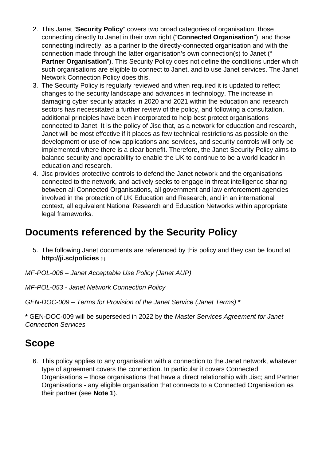- 2. This Janet "Security Policy " covers two broad categories of organisation: those connecting directly to Janet in their own right ("Connected Organisation "); and those connecting indirectly, as a partner to the directly-connected organisation and with the connection made through the latter organisation's own connection(s) to Janet (" Partner Organisation "). This Security Policy does not define the conditions under which such organisations are eligible to connect to Janet, and to use Janet services. The Janet Network Connection Policy does this.
- 3. The Security Policy is regularly reviewed and when required it is updated to reflect changes to the security landscape and advances in technology. The increase in damaging cyber security attacks in 2020 and 2021 within the education and research sectors has necessitated a further review of the policy, and following a consultation, additional principles have been incorporated to help best protect organisations connected to Janet. It is the policy of Jisc that, as a network for education and research, Janet will be most effective if it places as few technical restrictions as possible on the development or use of new applications and services, and security controls will only be implemented where there is a clear benefit. Therefore, the Janet Security Policy aims to balance security and operability to enable the UK to continue to be a world leader in education and research.
- 4. Jisc provides protective controls to defend the Janet network and the organisations connected to the network, and actively seeks to engage in threat intelligence sharing between all Connected Organisations, all government and law enforcement agencies involved in the protection of UK Education and Research, and in an international context, all equivalent National Research and Education Networks within appropriate legal frameworks.

### Documents referenced by the Security Policy

5. The following Janet documents are referenced by this policy and they can be found at <http://ji.sc/policies>  $[1]$ .

MF-POL-006 – Janet Acceptable Use Policy (Janet AUP)

MF-POL-053 - Janet Network Connection Policy

GEN-DOC-009 – Terms for Provision of the Janet Service (Janet Terms) \*

\* GEN-DOC-009 will be superseded in 2022 by the Master Services Agreement for Janet Connection Services

### Scope

6. This policy applies to any organisation with a connection to the Janet network, whatever type of agreement covers the connection. In particular it covers Connected Organisations – those organisations that have a direct relationship with Jisc; and Partner Organisations - any eligible organisation that connects to a Connected Organisation as their partner (see Note 1).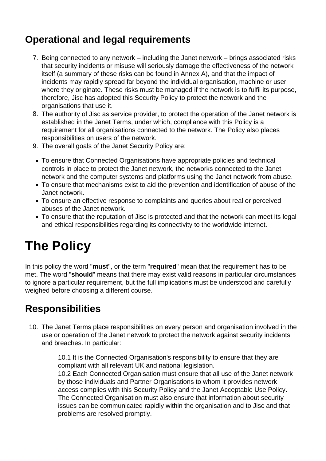## **Operational and legal requirements**

- 7. Being connected to any network including the Janet network brings associated risks that security incidents or misuse will seriously damage the effectiveness of the network itself (a summary of these risks can be found in Annex A), and that the impact of incidents may rapidly spread far beyond the individual organisation, machine or user where they originate. These risks must be managed if the network is to fulfil its purpose, therefore, Jisc has adopted this Security Policy to protect the network and the organisations that use it.
- 8. The authority of Jisc as service provider, to protect the operation of the Janet network is established in the Janet Terms, under which, compliance with this Policy is a requirement for all organisations connected to the network. The Policy also places responsibilities on users of the network.
- 9. The overall goals of the Janet Security Policy are:
- To ensure that Connected Organisations have appropriate policies and technical controls in place to protect the Janet network, the networks connected to the Janet network and the computer systems and platforms using the Janet network from abuse.
- To ensure that mechanisms exist to aid the prevention and identification of abuse of the Janet network.
- To ensure an effective response to complaints and queries about real or perceived abuses of the Janet network.
- To ensure that the reputation of Jisc is protected and that the network can meet its legal and ethical responsibilities regarding its connectivity to the worldwide internet.

# **The Policy**

In this policy the word "**must**", or the term "**required**" mean that the requirement has to be met. The word "**should**" means that there may exist valid reasons in particular circumstances to ignore a particular requirement, but the full implications must be understood and carefully weighed before choosing a different course.

## **Responsibilities**

10. The Janet Terms place responsibilities on every person and organisation involved in the use or operation of the Janet network to protect the network against security incidents and breaches. In particular:

> 10.1 It is the Connected Organisation's responsibility to ensure that they are compliant with all relevant UK and national legislation. 10.2 Each Connected Organisation must ensure that all use of the Janet network by those individuals and Partner Organisations to whom it provides network access complies with this Security Policy and the Janet Acceptable Use Policy. The Connected Organisation must also ensure that information about security issues can be communicated rapidly within the organisation and to Jisc and that problems are resolved promptly.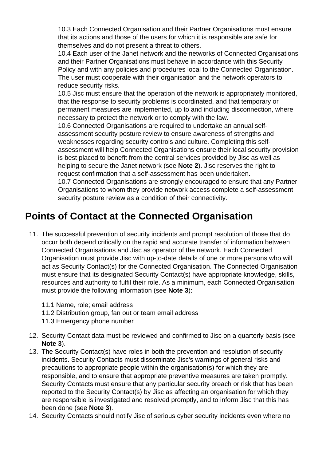10.3 Each Connected Organisation and their Partner Organisations must ensure that its actions and those of the users for which it is responsible are safe for themselves and do not present a threat to others.

10.4 Each user of the Janet network and the networks of Connected Organisations and their Partner Organisations must behave in accordance with this Security Policy and with any policies and procedures local to the Connected Organisation. The user must cooperate with their organisation and the network operators to reduce security risks.

10.5 Jisc must ensure that the operation of the network is appropriately monitored, that the response to security problems is coordinated, and that temporary or permanent measures are implemented, up to and including disconnection, where necessary to protect the network or to comply with the law.

10.6 Connected Organisations are required to undertake an annual selfassessment security posture review to ensure awareness of strengths and weaknesses regarding security controls and culture. Completing this selfassessment will help Connected Organisations ensure their local security provision is best placed to benefit from the central services provided by Jisc as well as helping to secure the Janet network (see **Note 2**). Jisc reserves the right to request confirmation that a self-assessment has been undertaken.

10.7 Connected Organisations are strongly encouraged to ensure that any Partner Organisations to whom they provide network access complete a self-assessment security posture review as a condition of their connectivity.

## **Points of Contact at the Connected Organisation**

- 11. The successful prevention of security incidents and prompt resolution of those that do occur both depend critically on the rapid and accurate transfer of information between Connected Organisations and Jisc as operator of the network. Each Connected Organisation must provide Jisc with up-to-date details of one or more persons who will act as Security Contact(s) for the Connected Organisation. The Connected Organisation must ensure that its designated Security Contact(s) have appropriate knowledge, skills, resources and authority to fulfil their role. As a minimum, each Connected Organisation must provide the following information (see **Note 3**):
	- 11.1 Name, role; email address
	- 11.2 Distribution group, fan out or team email address
	- 11.3 Emergency phone number
- 12. Security Contact data must be reviewed and confirmed to Jisc on a quarterly basis (see **Note 3**).
- 13. The Security Contact(s) have roles in both the prevention and resolution of security incidents. Security Contacts must disseminate Jisc's warnings of general risks and precautions to appropriate people within the organisation(s) for which they are responsible, and to ensure that appropriate preventive measures are taken promptly. Security Contacts must ensure that any particular security breach or risk that has been reported to the Security Contact(s) by Jisc as affecting an organisation for which they are responsible is investigated and resolved promptly, and to inform Jisc that this has been done (see **Note 3**).
- 14. Security Contacts should notify Jisc of serious cyber security incidents even where no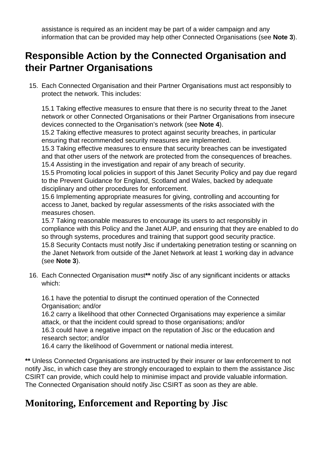assistance is required as an incident may be part of a wider campaign and any information that can be provided may help other Connected Organisations (see **Note 3**).

### **Responsible Action by the Connected Organisation and their Partner Organisations**

15. Each Connected Organisation and their Partner Organisations must act responsibly to protect the network. This includes:

15.1 Taking effective measures to ensure that there is no security threat to the Janet network or other Connected Organisations or their Partner Organisations from insecure devices connected to the Organisation's network (see **Note 4**).

15.2 Taking effective measures to protect against security breaches, in particular ensuring that recommended security measures are implemented.

15.3 Taking effective measures to ensure that security breaches can be investigated and that other users of the network are protected from the consequences of breaches. 15.4 Assisting in the investigation and repair of any breach of security.

15.5 Promoting local policies in support of this Janet Security Policy and pay due regard to the Prevent Guidance for England, Scotland and Wales, backed by adequate disciplinary and other procedures for enforcement.

15.6 Implementing appropriate measures for giving, controlling and accounting for access to Janet, backed by regular assessments of the risks associated with the measures chosen.

15.7 Taking reasonable measures to encourage its users to act responsibly in compliance with this Policy and the Janet AUP, and ensuring that they are enabled to do so through systems, procedures and training that support good security practice. 15.8 Security Contacts must notify Jisc if undertaking penetration testing or scanning on the Janet Network from outside of the Janet Network at least 1 working day in advance (see **Note 3**).

16. Each Connected Organisation must**\*\*** notify Jisc of any significant incidents or attacks which:

16.1 have the potential to disrupt the continued operation of the Connected Organisation; and/or

16.2 carry a likelihood that other Connected Organisations may experience a similar attack, or that the incident could spread to those organisations; and/or

16.3 could have a negative impact on the reputation of Jisc or the education and research sector; and/or

16.4 carry the likelihood of Government or national media interest.

**\*\*** Unless Connected Organisations are instructed by their insurer or law enforcement to not notify Jisc, in which case they are strongly encouraged to explain to them the assistance Jisc CSIRT can provide, which could help to minimise impact and provide valuable information. The Connected Organisation should notify Jisc CSIRT as soon as they are able.

### **Monitoring, Enforcement and Reporting by Jisc**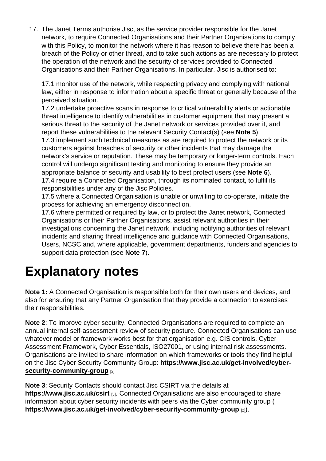17. The Janet Terms authorise Jisc, as the service provider responsible for the Janet network, to require Connected Organisations and their Partner Organisations to comply with this Policy, to monitor the network where it has reason to believe there has been a breach of the Policy or other threat, and to take such actions as are necessary to protect the operation of the network and the security of services provided to Connected Organisations and their Partner Organisations. In particular, Jisc is authorised to:

17.1 monitor use of the network, while respecting privacy and complying with national law, either in response to information about a specific threat or generally because of the perceived situation.

17.2 undertake proactive scans in response to critical vulnerability alerts or actionable threat intelligence to identify vulnerabilities in customer equipment that may present a serious threat to the security of the Janet network or services provided over it, and report these vulnerabilities to the relevant Security Contact(s) (see Note 5).

17.3 implement such technical measures as are required to protect the network or its customers against breaches of security or other incidents that may damage the network's service or reputation. These may be temporary or longer-term controls. Each control will undergo significant testing and monitoring to ensure they provide an appropriate balance of security and usability to best protect users (see Note 6). 17.4 require a Connected Organisation, through its nominated contact, to fulfil its responsibilities under any of the Jisc Policies.

17.5 where a Connected Organisation is unable or unwilling to co-operate, initiate the process for achieving an emergency disconnection.

17.6 where permitted or required by law, or to protect the Janet network, Connected Organisations or their Partner Organisations, assist relevant authorities in their investigations concerning the Janet network, including notifying authorities of relevant incidents and sharing threat intelligence and guidance with Connected Organisations, Users, NCSC and, where applicable, government departments, funders and agencies to support data protection (see Note 7).

# Explanatory notes

Note 1: A Connected Organisation is responsible both for their own users and devices, and also for ensuring that any Partner Organisation that they provide a connection to exercises their responsibilities.

Note 2: To improve cyber security, Connected Organisations are required to complete an annual internal self-assessment review of security posture. Connected Organisations can use whatever model or framework works best for that organisation e.g. CIS controls, Cyber Assessment Framework, Cyber Essentials, ISO27001, or using internal risk assessments. Organisations are invited to share information on which frameworks or tools they find helpful on the Jisc Cyber Security Community Group: [https://www.jisc.ac.uk/get-involved/cyber](https://www.jisc.ac.uk/get-involved/cyber-security-community-group)[security-community-group](https://www.jisc.ac.uk/get-involved/cyber-security-community-group) [2]

Note 3: Security Contacts should contact Jisc CSIRT via the details at <https://www.jisc.ac.uk/csirt> [3]. Connected Organisations are also encouraged to share information about cyber security incidents with peers via the Cyber community group ( <https://www.jisc.ac.uk/get-involved/cyber-security-community-group> [2]).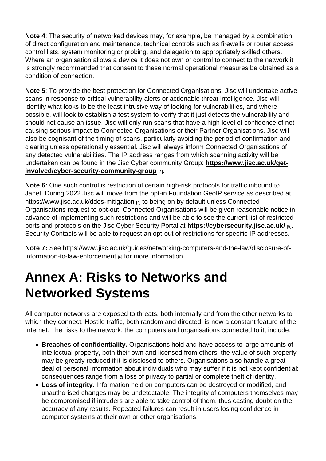Note 4: The security of networked devices may, for example, be managed by a combination of direct configuration and maintenance, technical controls such as firewalls or router access control lists, system monitoring or probing, and delegation to appropriately skilled others. Where an organisation allows a device it does not own or control to connect to the network it is strongly recommended that consent to these normal operational measures be obtained as a condition of connection.

Note 5: To provide the best protection for Connected Organisations, Jisc will undertake active scans in response to critical vulnerability alerts or actionable threat intelligence. Jisc will identify what looks to be the least intrusive way of looking for vulnerabilities, and where possible, will look to establish a test system to verify that it just detects the vulnerability and should not cause an issue. Jisc will only run scans that have a high level of confidence of not causing serious impact to Connected Organisations or their Partner Organisations. Jisc will also be cognisant of the timing of scans, particularly avoiding the period of confirmation and clearing unless operationally essential. Jisc will always inform Connected Organisations of any detected vulnerabilities. The IP address ranges from which scanning activity will be undertaken can be found in the Jisc Cyber community Group: [https://www.jisc.ac.uk/get](https://www.jisc.ac.uk/get-involved/cyber-security-community-group)[involved/cyber-security-community-group](https://www.jisc.ac.uk/get-involved/cyber-security-community-group) [2].

Note 6: One such control is restriction of certain high-risk protocols for traffic inbound to Janet. During 2022 Jisc will move from the opt-in Foundation GeoIP service as described at <https://www.jisc.ac.uk/ddos-mitigation> [4] to being on by default unless Connected Organisations request to opt-out. Connected Organisations will be given reasonable notice in advance of implementing such restrictions and will be able to see the current list of restricted ports and protocols on the Jisc Cyber Security Portal at<https://cybersecurity.jisc.ac.uk/> [5]. Security Contacts will be able to request an opt-out of restrictions for specific IP addresses.

Note 7: See [https://www.jisc.ac.uk/guides/networking-computers-and-the-law/disclosure-of](https://www.jisc.ac.uk/guides/networking-computers-and-the-law/disclosure-of-information-to-law-enforcement)[information-to-law-enforcement](https://www.jisc.ac.uk/guides/networking-computers-and-the-law/disclosure-of-information-to-law-enforcement) [6] for more information.

# Annex A: Risks to Networks and Networked Systems

All computer networks are exposed to threats, both internally and from the other networks to which they connect. Hostile traffic, both random and directed, is now a constant feature of the Internet. The risks to the network, the computers and organisations connected to it, include:

- Breaches of confidentiality. Organisations hold and have access to large amounts of intellectual property, both their own and licensed from others: the value of such property may be greatly reduced if it is disclosed to others. Organisations also handle a great deal of personal information about individuals who may suffer if it is not kept confidential: consequences range from a loss of privacy to partial or complete theft of identity.
- Loss of integrity. Information held on computers can be destroyed or modified, and unauthorised changes may be undetectable. The integrity of computers themselves may be compromised if intruders are able to take control of them, thus casting doubt on the accuracy of any results. Repeated failures can result in users losing confidence in computer systems at their own or other organisations.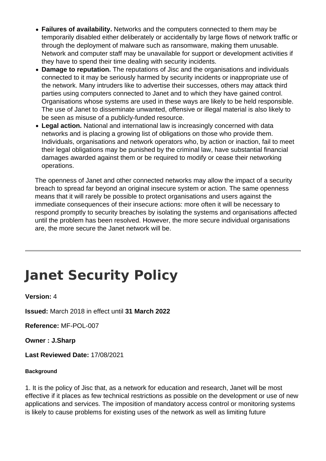- **Failures of availability.** Networks and the computers connected to them may be temporarily disabled either deliberately or accidentally by large flows of network traffic or through the deployment of malware such as ransomware, making them unusable. Network and computer staff may be unavailable for support or development activities if they have to spend their time dealing with security incidents.
- **Damage to reputation.** The reputations of Jisc and the organisations and individuals connected to it may be seriously harmed by security incidents or inappropriate use of the network. Many intruders like to advertise their successes, others may attack third parties using computers connected to Janet and to which they have gained control. Organisations whose systems are used in these ways are likely to be held responsible. The use of Janet to disseminate unwanted, offensive or illegal material is also likely to be seen as misuse of a publicly-funded resource.
- **Legal action.** National and international law is increasingly concerned with data networks and is placing a growing list of obligations on those who provide them. Individuals, organisations and network operators who, by action or inaction, fail to meet their legal obligations may be punished by the criminal law, have substantial financial damages awarded against them or be required to modify or cease their networking operations.

The openness of Janet and other connected networks may allow the impact of a security breach to spread far beyond an original insecure system or action. The same openness means that it will rarely be possible to protect organisations and users against the immediate consequences of their insecure actions: more often it will be necessary to respond promptly to security breaches by isolating the systems and organisations affected until the problem has been resolved. However, the more secure individual organisations are, the more secure the Janet network will be.

# **Janet Security Policy**

### **Version:** 4

**Issued:** March 2018 in effect until **31 March 2022**

**Reference:** MF-POL-007

**Owner : J.Sharp**

**Last Reviewed Date:** 17/08/2021

#### **Background**

1. It is the policy of Jisc that, as a network for education and research, Janet will be most effective if it places as few technical restrictions as possible on the development or use of new applications and services. The imposition of mandatory access control or monitoring systems is likely to cause problems for existing uses of the network as well as limiting future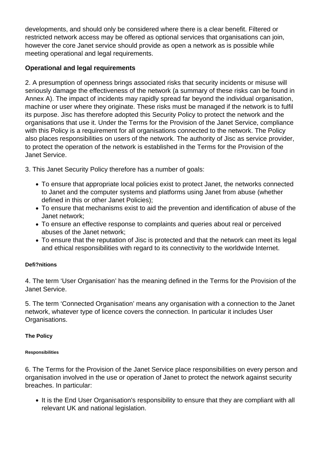developments, and should only be considered where there is a clear benefit. Filtered or restricted network access may be offered as optional services that organisations can join, however the core Janet service should provide as open a network as is possible while meeting operational and legal requirements.

### **Operational and legal requirements**

2. A presumption of openness brings associated risks that security incidents or misuse will seriously damage the effectiveness of the network (a summary of these risks can be found in Annex A). The impact of incidents may rapidly spread far beyond the individual organisation, machine or user where they originate. These risks must be managed if the network is to fulfil its purpose. Jisc has therefore adopted this Security Policy to protect the network and the organisations that use it. Under the Terms for the Provision of the Janet Service, compliance with this Policy is a requirement for all organisations connected to the network. The Policy also places responsibilities on users of the network. The authority of Jisc as service provider, to protect the operation of the network is established in the Terms for the Provision of the Janet Service.

3. This Janet Security Policy therefore has a number of goals:

- To ensure that appropriate local policies exist to protect Janet, the networks connected to Janet and the computer systems and platforms using Janet from abuse (whether defined in this or other Janet Policies);
- To ensure that mechanisms exist to aid the prevention and identification of abuse of the Janet network;
- To ensure an effective response to complaints and queries about real or perceived abuses of the Janet network;
- To ensure that the reputation of Jisc is protected and that the network can meet its legal and ethical responsibilities with regard to its connectivity to the worldwide Internet.

### **Defi?nitions**

4. The term 'User Organisation' has the meaning defined in the Terms for the Provision of the Janet Service.

5. The term 'Connected Organisation' means any organisation with a connection to the Janet network, whatever type of licence covers the connection. In particular it includes User Organisations.

### **The Policy**

#### **Responsibilities**

6. The Terms for the Provision of the Janet Service place responsibilities on every person and organisation involved in the use or operation of Janet to protect the network against security breaches. In particular:

• It is the End User Organisation's responsibility to ensure that they are compliant with all relevant UK and national legislation.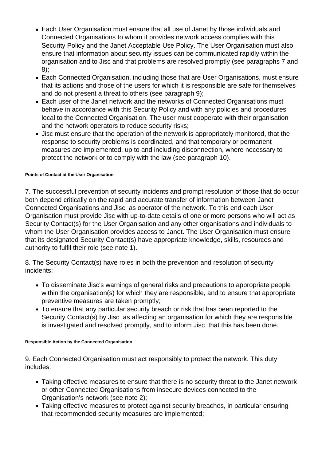- Each User Organisation must ensure that all use of Janet by those individuals and Connected Organisations to whom it provides network access complies with this Security Policy and the Janet Acceptable Use Policy. The User Organisation must also ensure that information about security issues can be communicated rapidly within the organisation and to Jisc and that problems are resolved promptly (see paragraphs 7 and 8);
- Each Connected Organisation, including those that are User Organisations, must ensure that its actions and those of the users for which it is responsible are safe for themselves and do not present a threat to others (see paragraph 9);
- Each user of the Janet network and the networks of Connected Organisations must behave in accordance with this Security Policy and with any policies and procedures local to the Connected Organisation. The user must cooperate with their organisation and the network operators to reduce security risks;
- Jisc must ensure that the operation of the network is appropriately monitored, that the response to security problems is coordinated, and that temporary or permanent measures are implemented, up to and including disconnection, where necessary to protect the network or to comply with the law (see paragraph 10).

#### **Points of Contact at the User Organisation**

7. The successful prevention of security incidents and prompt resolution of those that do occur both depend critically on the rapid and accurate transfer of information between Janet Connected Organisations and Jisc as operator of the network. To this end each User Organisation must provide Jisc with up-to-date details of one or more persons who will act as Security Contact(s) for the User Organisation and any other organisations and individuals to whom the User Organisation provides access to Janet. The User Organisation must ensure that its designated Security Contact(s) have appropriate knowledge, skills, resources and authority to fulfil their role (see note 1).

8. The Security Contact(s) have roles in both the prevention and resolution of security incidents:

- To disseminate Jisc's warnings of general risks and precautions to appropriate people within the organisation(s) for which they are responsible, and to ensure that appropriate preventive measures are taken promptly;
- To ensure that any particular security breach or risk that has been reported to the Security Contact(s) by Jisc as affecting an organisation for which they are responsible is investigated and resolved promptly, and to inform Jisc that this has been done.

#### **Responsible Action by the Connected Organisation**

9. Each Connected Organisation must act responsibly to protect the network. This duty includes:

- Taking effective measures to ensure that there is no security threat to the Janet network or other Connected Organisations from insecure devices connected to the Organisation's network (see note 2);
- Taking effective measures to protect against security breaches, in particular ensuring that recommended security measures are implemented;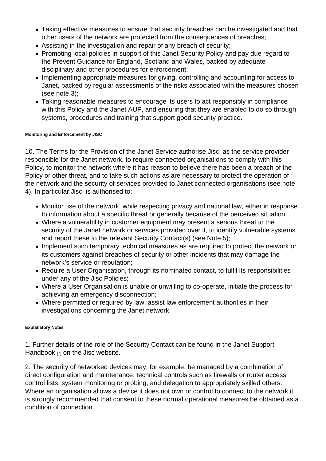- Taking effective measures to ensure that security breaches can be investigated and that other users of the network are protected from the consequences of breaches;
- Assisting in the investigation and repair of any breach of security;
- Promoting local policies in support of this Janet Security Policy and pay due regard to the Prevent Guidance for England, Scotland and Wales, backed by adequate disciplinary and other procedures for enforcement;
- Implementing appropriate measures for giving, controlling and accounting for access to Janet, backed by regular assessments of the risks associated with the measures chosen (see note 3);
- Taking reasonable measures to encourage its users to act responsibly in compliance with this Policy and the Janet AUP, and ensuring that they are enabled to do so through systems, procedures and training that support good security practice.

Monitoring and Enforcement by JISC

10. The Terms for the Provision of the Janet Service authorise Jisc, as the service provider responsible for the Janet network, to require connected organisations to comply with this Policy, to monitor the network where it has reason to believe there has been a breach of the Policy or other threat, and to take such actions as are necessary to protect the operation of the network and the security of services provided to Janet connected organisations (see note 4). In particular Jisc is authorised to:

- Monitor use of the network, while respecting privacy and national law, either in response to information about a specific threat or generally because of the perceived situation;
- Where a vulnerability in customer equipment may present a serious threat to the security of the Janet network or services provided over it, to identify vulnerable systems and report these to the relevant Security Contact(s) (see Note 5);
- Implement such temporary technical measures as are required to protect the network or its customers against breaches of security or other incidents that may damage the network's service or reputation;
- Require a User Organisation, through its nominated contact, to fulfil its responsibilities under any of the Jisc Policies;
- Where a User Organisation is unable or unwilling to co-operate, initiate the process for achieving an emergency disconnection;
- Where permitted or required by law, assist law enforcement authorities in their investigations concerning the Janet network.

#### Explanatory Notes

1. Further details of the role of the Security Contact can be found in the [Janet Support](https://community.jisc.ac.uk/library/janet-services-documentation/janet-support-manual)  [Handbook](https://community.jisc.ac.uk/library/janet-services-documentation/janet-support-manual) [7] on the Jisc website.

2. The security of networked devices may, for example, be managed by a combination of direct configuration and maintenance, technical controls such as firewalls or router access control lists, system monitoring or probing, and delegation to appropriately skilled others. Where an organisation allows a device it does not own or control to connect to the network it is strongly recommended that consent to these normal operational measures be obtained as a condition of connection.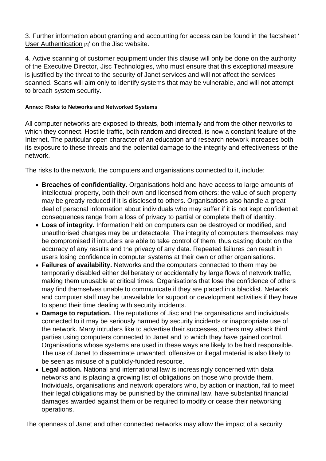3. Further information about granting and accounting for access can be found in the factsheet ' [User Authentication](https://community.jisc.ac.uk/library/janet-policies/user-authentication) [8]' on the Jisc website.

4. Active scanning of customer equipment under this clause will only be done on the authority of the Executive Director, Jisc Technologies, who must ensure that this exceptional measure is justified by the threat to the security of Janet services and will not affect the services scanned. Scans will aim only to identify systems that may be vulnerable, and will not attempt to breach system security.

Annex: Risks to Networks and Networked Systems

All computer networks are exposed to threats, both internally and from the other networks to which they connect. Hostile traffic, both random and directed, is now a constant feature of the Internet. The particular open character of an education and research network increases both its exposure to these threats and the potential damage to the integrity and effectiveness of the network.

The risks to the network, the computers and organisations connected to it, include:

- Breaches of confidentiality. Organisations hold and have access to large amounts of intellectual property, both their own and licensed from others: the value of such property may be greatly reduced if it is disclosed to others. Organisations also handle a great deal of personal information about individuals who may suffer if it is not kept confidential: consequences range from a loss of privacy to partial or complete theft of identity.
- Loss of integrity. Information held on computers can be destroved or modified, and unauthorised changes may be undetectable. The integrity of computers themselves may be compromised if intruders are able to take control of them, thus casting doubt on the accuracy of any results and the privacy of any data. Repeated failures can result in users losing confidence in computer systems at their own or other organisations.
- Failures of availability. Networks and the computers connected to them may be temporarily disabled either deliberately or accidentally by large flows of network traffic, making them unusable at critical times. Organisations that lose the confidence of others may find themselves unable to communicate if they are placed in a blacklist. Network and computer staff may be unavailable for support or development activities if they have to spend their time dealing with security incidents.
- Damage to reputation. The reputations of Jisc and the organisations and individuals connected to it may be seriously harmed by security incidents or inappropriate use of the network. Many intruders like to advertise their successes, others may attack third parties using computers connected to Janet and to which they have gained control. Organisations whose systems are used in these ways are likely to be held responsible. The use of Janet to disseminate unwanted, offensive or illegal material is also likely to be seen as misuse of a publicly-funded resource.
- Legal action. National and international law is increasingly concerned with data networks and is placing a growing list of obligations on those who provide them. Individuals, organisations and network operators who, by action or inaction, fail to meet their legal obligations may be punished by the criminal law, have substantial financial damages awarded against them or be required to modify or cease their networking operations.

The openness of Janet and other connected networks may allow the impact of a security